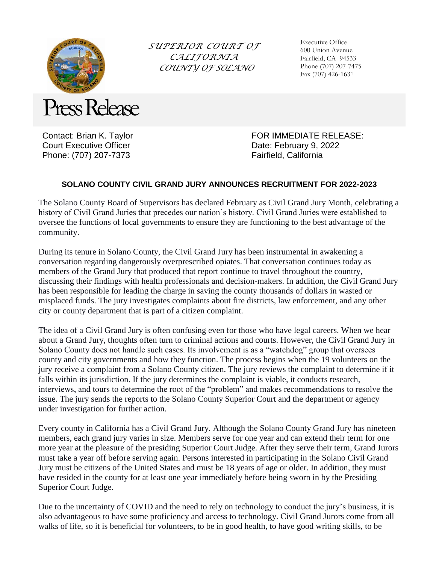

*SUPERIOR COURT OF CALIFORNIA COUNTY OF SOLANO*

Executive Office 600 Union Avenue Fairfield, CA 94533 Phone (707) 207-7475 Fax (707) 426-1631

Contact: Brian K. Taylor Court Executive Officer Phone: (707) 207-7373

FOR IMMEDIATE RELEASE: Date: February 9, 2022 Fairfield, California

## **SOLANO COUNTY CIVIL GRAND JURY ANNOUNCES RECRUITMENT FOR 2022-2023**

The Solano County Board of Supervisors has declared February as Civil Grand Jury Month, celebrating a history of Civil Grand Juries that precedes our nation's history. Civil Grand Juries were established to oversee the functions of local governments to ensure they are functioning to the best advantage of the community.

During its tenure in Solano County, the Civil Grand Jury has been instrumental in awakening a conversation regarding dangerously overprescribed opiates. That conversation continues today as members of the Grand Jury that produced that report continue to travel throughout the country, discussing their findings with health professionals and decision-makers. In addition, the Civil Grand Jury has been responsible for leading the charge in saving the county thousands of dollars in wasted or misplaced funds. The jury investigates complaints about fire districts, law enforcement, and any other city or county department that is part of a citizen complaint.

The idea of a Civil Grand Jury is often confusing even for those who have legal careers. When we hear about a Grand Jury, thoughts often turn to criminal actions and courts. However, the Civil Grand Jury in Solano County does not handle such cases. Its involvement is as a "watchdog" group that oversees county and city governments and how they function. The process begins when the 19 volunteers on the jury receive a complaint from a Solano County citizen. The jury reviews the complaint to determine if it falls within its jurisdiction. If the jury determines the complaint is viable, it conducts research, interviews, and tours to determine the root of the "problem" and makes recommendations to resolve the issue. The jury sends the reports to the Solano County Superior Court and the department or agency under investigation for further action.

Every county in California has a Civil Grand Jury. Although the Solano County Grand Jury has nineteen members, each grand jury varies in size. Members serve for one year and can extend their term for one more year at the pleasure of the presiding Superior Court Judge. After they serve their term, Grand Jurors must take a year off before serving again. Persons interested in participating in the Solano Civil Grand Jury must be citizens of the United States and must be 18 years of age or older. In addition, they must have resided in the county for at least one year immediately before being sworn in by the Presiding Superior Court Judge.

Due to the uncertainty of COVID and the need to rely on technology to conduct the jury's business, it is also advantageous to have some proficiency and access to technology. Civil Grand Jurors come from all walks of life, so it is beneficial for volunteers, to be in good health, to have good writing skills, to be